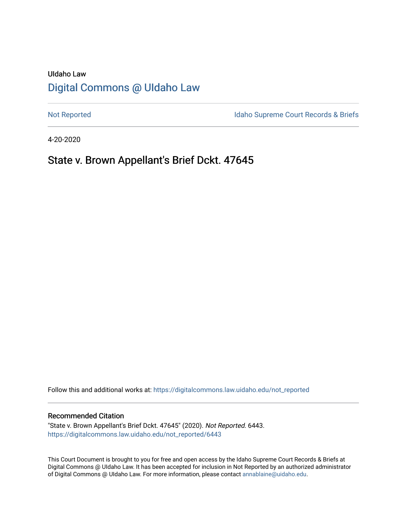# UIdaho Law [Digital Commons @ UIdaho Law](https://digitalcommons.law.uidaho.edu/)

[Not Reported](https://digitalcommons.law.uidaho.edu/not_reported) **Idaho Supreme Court Records & Briefs** 

4-20-2020

# State v. Brown Appellant's Brief Dckt. 47645

Follow this and additional works at: [https://digitalcommons.law.uidaho.edu/not\\_reported](https://digitalcommons.law.uidaho.edu/not_reported?utm_source=digitalcommons.law.uidaho.edu%2Fnot_reported%2F6443&utm_medium=PDF&utm_campaign=PDFCoverPages) 

# Recommended Citation

"State v. Brown Appellant's Brief Dckt. 47645" (2020). Not Reported. 6443. [https://digitalcommons.law.uidaho.edu/not\\_reported/6443](https://digitalcommons.law.uidaho.edu/not_reported/6443?utm_source=digitalcommons.law.uidaho.edu%2Fnot_reported%2F6443&utm_medium=PDF&utm_campaign=PDFCoverPages)

This Court Document is brought to you for free and open access by the Idaho Supreme Court Records & Briefs at Digital Commons @ UIdaho Law. It has been accepted for inclusion in Not Reported by an authorized administrator of Digital Commons @ UIdaho Law. For more information, please contact [annablaine@uidaho.edu](mailto:annablaine@uidaho.edu).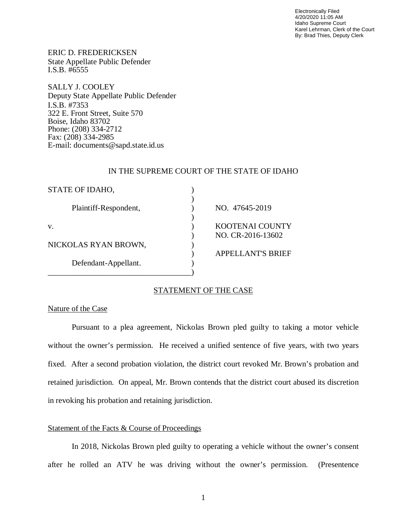Electronically Filed 4/20/2020 11:05 AM Idaho Supreme Court Karel Lehrman, Clerk of the Court By: Brad Thies, Deputy Clerk

ERIC D. FREDERICKSEN State Appellate Public Defender I.S.B. #6555

SALLY J. COOLEY Deputy State Appellate Public Defender I.S.B. #7353 322 E. Front Street, Suite 570 Boise, Idaho 83702 Phone: (208) 334-2712 Fax: (208) 334-2985 E-mail: documents@sapd.state.id.us

## IN THE SUPREME COURT OF THE STATE OF IDAHO

| STATE OF IDAHO,       |                          |
|-----------------------|--------------------------|
|                       |                          |
| Plaintiff-Respondent, | NO. 47645-2019           |
|                       |                          |
| V.                    | <b>KOOTENAI COUNTY</b>   |
|                       | NO. CR-2016-13602        |
| NICKOLAS RYAN BROWN,  |                          |
|                       | <b>APPELLANT'S BRIEF</b> |
| Defendant-Appellant.  |                          |
|                       |                          |

# STATEMENT OF THE CASE

# Nature of the Case

Pursuant to a plea agreement, Nickolas Brown pled guilty to taking a motor vehicle without the owner's permission. He received a unified sentence of five years, with two years fixed. After a second probation violation, the district court revoked Mr. Brown's probation and retained jurisdiction. On appeal, Mr. Brown contends that the district court abused its discretion in revoking his probation and retaining jurisdiction.

# Statement of the Facts & Course of Proceedings

In 2018, Nickolas Brown pled guilty to operating a vehicle without the owner's consent after he rolled an ATV he was driving without the owner's permission. (Presentence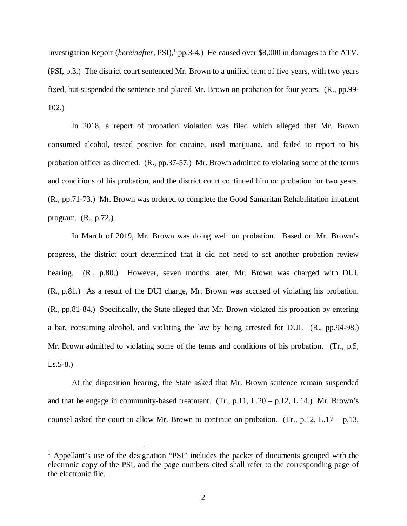Investigation Report (*hereinafter*, PSI),<sup>[1](#page-2-0)</sup> pp.3-4.) He caused over \$8,000 in damages to the ATV. (PSI, p.3.) The district court sentenced Mr. Brown to a unified term of five years, with two years fixed, but suspended the sentence and placed Mr. Brown on probation for four years. (R., pp.99- 102.)

In 2018, a report of probation violation was filed which alleged that Mr. Brown consumed alcohol, tested positive for cocaine, used marijuana, and failed to report to his probation officer as directed. (R., pp.37-57.) Mr. Brown admitted to violating some of the terms and conditions of his probation, and the district court continued him on probation for two years. (R., pp.71-73.) Mr. Brown was ordered to complete the Good Samaritan Rehabilitation inpatient program. (R., p.72.)

In March of 2019, Mr. Brown was doing well on probation. Based on Mr. Brown's progress, the district court determined that it did not need to set another probation review hearing. (R., p.80.) However, seven months later, Mr. Brown was charged with DUI. (R., p.81.) As a result of the DUI charge, Mr. Brown was accused of violating his probation. (R., pp.81-84.) Specifically, the State alleged that Mr. Brown violated his probation by entering a bar, consuming alcohol, and violating the law by being arrested for DUI. (R., pp.94-98.) Mr. Brown admitted to violating some of the terms and conditions of his probation. (Tr., p.5,  $Ls.5-8.$ 

At the disposition hearing, the State asked that Mr. Brown sentence remain suspended and that he engage in community-based treatment. (Tr., p.11, L.20 – p.12, L.14.) Mr. Brown's counsel asked the court to allow Mr. Brown to continue on probation. (Tr.,  $p.12$ , L.17 –  $p.13$ ,

<span id="page-2-0"></span><sup>&</sup>lt;sup>1</sup> Appellant's use of the designation "PSI" includes the packet of documents grouped with the electronic copy of the PSI, and the page numbers cited shall refer to the corresponding page of the electronic file.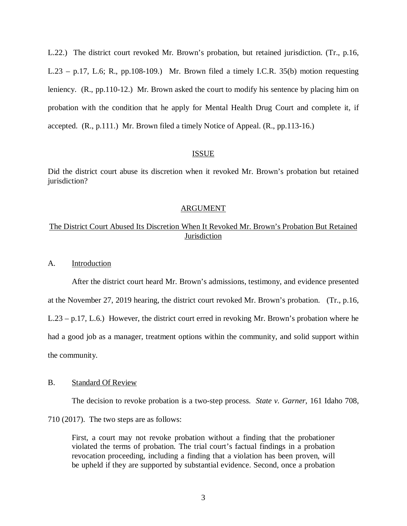L.22.) The district court revoked Mr. Brown's probation, but retained jurisdiction. (Tr., p.16, L.23 – p.17, L.6; R., pp.108-109.) Mr. Brown filed a timely I.C.R. 35(b) motion requesting leniency. (R., pp.110-12.) Mr. Brown asked the court to modify his sentence by placing him on probation with the condition that he apply for Mental Health Drug Court and complete it, if accepted. (R., p.111.) Mr. Brown filed a timely Notice of Appeal. (R., pp.113-16.)

## ISSUE

Did the district court abuse its discretion when it revoked Mr. Brown's probation but retained jurisdiction?

#### ARGUMENT

# The District Court Abused Its Discretion When It Revoked Mr. Brown's Probation But Retained Jurisdiction

### A. Introduction

After the district court heard Mr. Brown's admissions, testimony, and evidence presented at the November 27, 2019 hearing, the district court revoked Mr. Brown's probation. (Tr., p.16, L.23 – p.17, L.6.) However, the district court erred in revoking Mr. Brown's probation where he had a good job as a manager, treatment options within the community, and solid support within the community.

## B. Standard Of Review

The decision to revoke probation is a two-step process. *State v. Garner*, 161 Idaho 708,

710 (2017). The two steps are as follows:

First, a court may not revoke probation without a finding that the probationer violated the terms of probation. The trial court's factual findings in a probation revocation proceeding, including a finding that a violation has been proven, will be upheld if they are supported by substantial evidence. Second, once a probation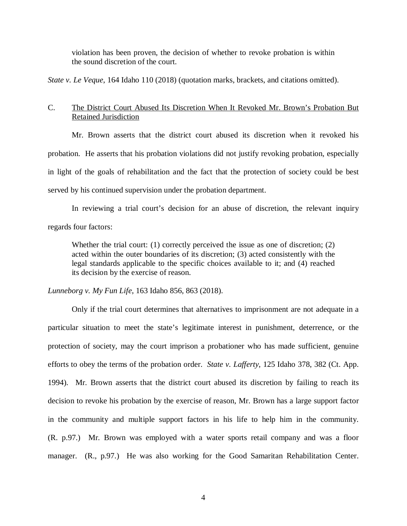violation has been proven, the decision of whether to revoke probation is within the sound discretion of the court.

*State v. Le Veque*, 164 Idaho 110 (2018) (quotation marks, brackets, and citations omitted).

# C. The District Court Abused Its Discretion When It Revoked Mr. Brown's Probation But Retained Jurisdiction

Mr. Brown asserts that the district court abused its discretion when it revoked his probation. He asserts that his probation violations did not justify revoking probation, especially in light of the goals of rehabilitation and the fact that the protection of society could be best served by his continued supervision under the probation department.

In reviewing a trial court's decision for an abuse of discretion, the relevant inquiry regards four factors:

Whether the trial court: (1) correctly perceived the issue as one of discretion; (2) acted within the outer boundaries of its discretion; (3) acted consistently with the legal standards applicable to the specific choices available to it; and (4) reached its decision by the exercise of reason.

*Lunneborg v. My Fun Life*, 163 Idaho 856, 863 (2018).

Only if the trial court determines that alternatives to imprisonment are not adequate in a particular situation to meet the state's legitimate interest in punishment, deterrence, or the protection of society, may the court imprison a probationer who has made sufficient, genuine efforts to obey the terms of the probation order. *State v. Lafferty*, 125 Idaho 378, 382 (Ct. App. 1994)*.* Mr. Brown asserts that the district court abused its discretion by failing to reach its decision to revoke his probation by the exercise of reason, Mr. Brown has a large support factor in the community and multiple support factors in his life to help him in the community. (R. p.97.) Mr. Brown was employed with a water sports retail company and was a floor manager. (R., p.97.) He was also working for the Good Samaritan Rehabilitation Center.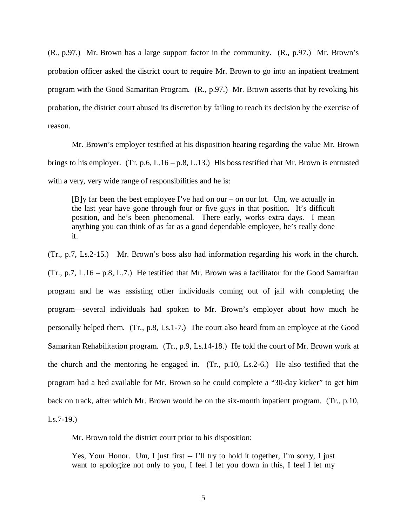(R., p.97.) Mr. Brown has a large support factor in the community. (R., p.97.) Mr. Brown's probation officer asked the district court to require Mr. Brown to go into an inpatient treatment program with the Good Samaritan Program. (R., p.97.) Mr. Brown asserts that by revoking his probation, the district court abused its discretion by failing to reach its decision by the exercise of reason.

Mr. Brown's employer testified at his disposition hearing regarding the value Mr. Brown brings to his employer. (Tr. p.6, L.16 – p.8, L.13.) His boss testified that Mr. Brown is entrusted with a very, very wide range of responsibilities and he is:

[B]y far been the best employee I've had on our – on our lot. Um, we actually in the last year have gone through four or five guys in that position. It's difficult position, and he's been phenomenal. There early, works extra days. I mean anything you can think of as far as a good dependable employee, he's really done it.

(Tr., p.7, Ls.2-15.) Mr. Brown's boss also had information regarding his work in the church. (Tr., p.7, L.16 – p.8, L.7.) He testified that Mr. Brown was a facilitator for the Good Samaritan program and he was assisting other individuals coming out of jail with completing the program—several individuals had spoken to Mr. Brown's employer about how much he personally helped them. (Tr., p.8, Ls.1-7.) The court also heard from an employee at the Good Samaritan Rehabilitation program. (Tr., p.9, Ls.14-18.) He told the court of Mr. Brown work at the church and the mentoring he engaged in. (Tr., p.10, Ls.2-6.) He also testified that the program had a bed available for Mr. Brown so he could complete a "30-day kicker" to get him back on track, after which Mr. Brown would be on the six-month inpatient program. (Tr., p.10,  $Ls.7-19.$ 

Mr. Brown told the district court prior to his disposition:

Yes, Your Honor. Um, I just first -- I'll try to hold it together, I'm sorry, I just want to apologize not only to you, I feel I let you down in this, I feel I let my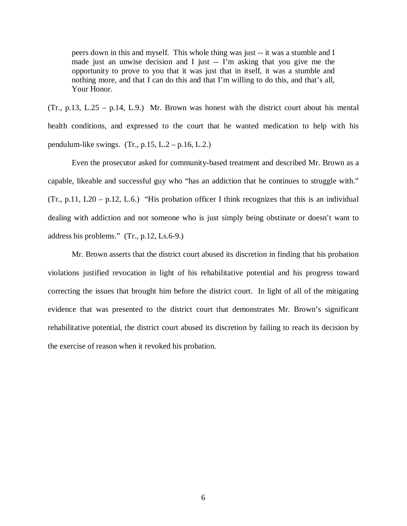peers down in this and myself. This whole thing was just -- it was a stumble and I made just an unwise decision and I just -- I'm asking that you give me the opportunity to prove to you that it was just that in itself, it was a stumble and nothing more, and that I can do this and that I'm willing to do this, and that's all, Your Honor.

 $(Tr., p.13, L.25 - p.14, L.9.)$  Mr. Brown was honest with the district court about his mental health conditions, and expressed to the court that he wanted medication to help with his pendulum-like swings.  $(Tr, p.15, L.2 - p.16, L.2.)$ 

Even the prosecutor asked for community-based treatment and described Mr. Brown as a capable, likeable and successful guy who "has an addiction that he continues to struggle with."  $(Tr., p.11, L20 - p.12, L.6.)$  "His probation officer I think recognizes that this is an individual dealing with addiction and not someone who is just simply being obstinate or doesn't want to address his problems." (Tr., p.12, Ls.6-9.)

Mr. Brown asserts that the district court abused its discretion in finding that his probation violations justified revocation in light of his rehabilitative potential and his progress toward correcting the issues that brought him before the district court. In light of all of the mitigating evidence that was presented to the district court that demonstrates Mr. Brown's significant rehabilitative potential, the district court abused its discretion by failing to reach its decision by the exercise of reason when it revoked his probation.